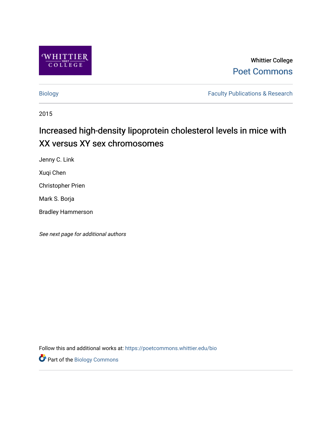

Whittier College [Poet Commons](https://poetcommons.whittier.edu/) 

[Biology](https://poetcommons.whittier.edu/bio) **Faculty Publications & Research** 

2015

# Increased high-density lipoprotein cholesterol levels in mice with XX versus XY sex chromosomes

Jenny C. Link

Xuqi Chen

Christopher Prien

Mark S. Borja

Bradley Hammerson

See next page for additional authors

Follow this and additional works at: [https://poetcommons.whittier.edu/bio](https://poetcommons.whittier.edu/bio?utm_source=poetcommons.whittier.edu%2Fbio%2F33&utm_medium=PDF&utm_campaign=PDFCoverPages)

Part of the [Biology Commons](http://network.bepress.com/hgg/discipline/41?utm_source=poetcommons.whittier.edu%2Fbio%2F33&utm_medium=PDF&utm_campaign=PDFCoverPages)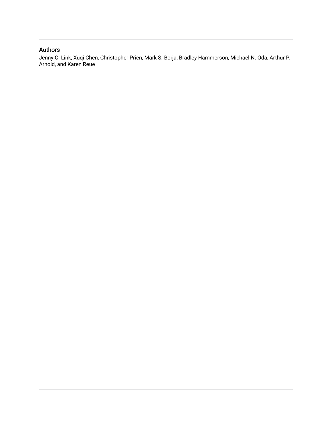# Authors

Jenny C. Link, Xuqi Chen, Christopher Prien, Mark S. Borja, Bradley Hammerson, Michael N. Oda, Arthur P. Arnold, and Karen Reue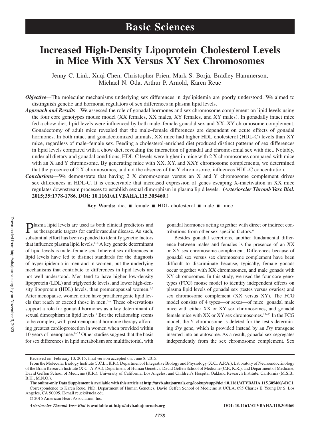# **Increased High-Density Lipoprotein Cholesterol Levels in Mice With XX Versus XY Sex Chromosomes**

Jenny C. Link, Xuqi Chen, Christopher Prien, Mark S. Borja, Bradley Hammerson, Michael N. Oda, Arthur P. Arnold, Karen Reue

*Objective—The molecular mechanisms underlying sex differences in dyslipidemia are poorly understood. We aimed to* distinguish genetic and hormonal regulators of sex differences in plasma lipid levels.

- *Approach and Results*—We assessed the role of gonadal hormones and sex chromosome complement on lipid levels using the four core genotypes mouse model (XX females, XX males, XY females, and XY males). In gonadally intact mice fed a chow diet, lipid levels were influenced by both male–female gonadal sex and XX–XY chromosome complement. Gonadectomy of adult mice revealed that the male–female differences are dependent on acute effects of gonadal hormones. In both intact and gonadectomized animals, XX mice had higher HDL cholesterol (HDL-C) levels than XY mice, regardless of male–female sex. Feeding a cholesterol-enriched diet produced distinct patterns of sex differences in lipid levels compared with a chow diet, revealing the interaction of gonadal and chromosomal sex with diet. Notably, under all dietary and gonadal conditions, HDL-C levels were higher in mice with 2 X chromosomes compared with mice with an X and Y chromosome. By generating mice with XX, XY, and XXY chromosome complements, we determined that the presence of 2 X chromosomes, and not the absence of the Y chromosome, influences HDL-C concentration.
- *Conclusions*—We demonstrate that having 2 X chromosomes versus an X and Y chromosome complement drives sex differences in HDL-C. It is conceivable that increased expression of genes escaping X-inactivation in XX mice regulates downstream processes to establish sexual dimorphism in plasma lipid levels. **(***Arterioscler Thromb Vasc Biol***. 2015;35:1778-1786. DOI: 10.1161/ATVBAHA.115.305460.)**

**Key Words:** diet ■ female ■ HDL cholesterol ■ male ■ mice

Plasma lipid levels are used as both clinical predictors and as therapeutic targets for cardiovascular disease. As such, substantial effort has been expended to identify genetic factors that influence plasma lipid levels. $1-4$  A key genetic determinant of lipid levels is male–female sex. Inherent sex differences in lipid levels have led to distinct standards for the diagnosis of hyperlipidemia in men and in women, but the underlying mechanisms that contribute to differences in lipid levels are not well understood. Men tend to have higher low-density lipoprotein (LDL) and triglyceride levels, and lower high-density lipoprotein (HDL) levels, than premenopausal women.<sup>5,6</sup> After menopause, women often have proatherogenic lipid levels that reach or exceed those in men.5–7 These observations support a role for gonadal hormones as a key determinant of sexual dimorphism in lipid levels.<sup>7</sup> But the relationship seems to be complex, with postmenopausal hormone therapy affording greatest cardioprotection in women when provided within 10 years of menopause.<sup>8-12</sup> Other studies suggest that the basis for sex differences in lipid metabolism are multifactorial, with

gonadal hormones acting together with direct or indirect contributions from other sex-specific factors.<sup>6</sup>

Besides gonadal secretions, another fundamental difference between males and females is the presence of an XX or XY sex chromosome complement. Differences because of gonadal sex versus sex chromosome complement have been difficult to discriminate because, typically, female gonads occur together with XX chromosomes, and male gonads with XY chromosomes. In this study, we used the four core genotypes (FCG) mouse model to identify independent effects on plasma lipid levels of gonadal sex (testes versus ovaries) and sex chromosome complement (XX versus XY). The FCG model consists of 4 types—or sexes—of mice: gonadal male mice with either XX or XY sex chromosomes, and gonadal female mice with XX or XY sex chromosomes.13–15 In the FCG model, the Y chromosome is deleted for the testis-determining *Sry* gene, which is provided instead by an *Sry* transgene inserted into an autosome. As a result, gonadal sex segregates independently from the sex chromosome complement. Sex

Received on: February 10, 2015; final version accepted on: June 8, 2015.

From the Molecular Biology Institute (J.C.L., K.R.), Department of Integrative Biology and Physiology (X.C., A.P.A.), Laboratory of Neuroendocrinology of the Brain Research Institute (X.C., A.P.A.), Department of Human Genetics, David Geffen School of Medicine (C.P., K.R.), and Department of Medicine, David Geffen School of Medicine (K.R.), University of California, Los Angeles; and Children's Hospital Oakland Research Institute, California (M.S.B., B.H., M.N.O.).

**The online-only Data Supplement is available with this article at [http://atvb.ahajournals.org/lookup/suppl/doi:10.1161/ATVBAHA.115.305460/-/DC1](http:// http://atvb.ahajournals.org/lookup/suppl/doi:10.1161/ATVBAHA.115.305460/-/DC1).** Correspondence to Karen Reue, PhD, Department of Human Genetics, David Geffen School of Medicine at UCLA, 695 Charles E. Young Dr S, Los Angeles, CA 90095. E-mail [reuek@ucla.edu](mailto:reuek@ucla.edu)

<sup>© 2015</sup> American Heart Association, Inc.

*Arterioscler Thromb Vasc Biol* **is available at http://atvb.ahajournals.org DOI: 10.1161/ATVBAHA.115.305460**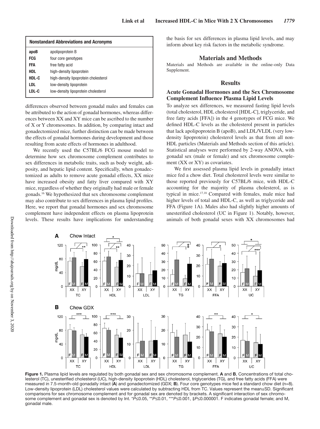| <b>Nonstandard Abbreviations and Acronyms</b> |                                      |  |  |  |
|-----------------------------------------------|--------------------------------------|--|--|--|
| apoB                                          | apolipoprotein B                     |  |  |  |
| <b>FCG</b>                                    | four core genotypes                  |  |  |  |
| FFA                                           | free fatty acid                      |  |  |  |
| <b>HDL</b>                                    | high-density lipoprotein             |  |  |  |
| HDL-C                                         | high-density lipoprotein cholesterol |  |  |  |
| LDL                                           | low-density lipoprotein              |  |  |  |
| LDL-C                                         | low-density lipoprotein cholesterol  |  |  |  |

differences observed between gonadal males and females can be attributed to the action of gonadal hormones, whereas differences between XX and XY mice can be ascribed to the number of X or Y chromosomes. In addition, by comparing intact and gonadectomized mice, further distinction can be made between the effects of gonadal hormones during development and those resulting from acute effects of hormones in adulthood.

We recently used the C57BL/6 FCG mouse model to determine how sex chromosome complement contributes to sex differences in metabolic traits, such as body weight, adiposity, and hepatic lipid content. Specifically, when gonadectomized as adults to remove acute gonadal effects, XX mice have increased obesity and fatty liver compared with XY mice, regardless of whether they originally had male or female gonads.16 We hypothesized that sex chromosome complement may also contribute to sex differences in plasma lipid profiles. Here, we report that gonadal hormones and sex chromosome complement have independent effects on plasma lipoprotein levels. These results have implications for understanding the basis for sex differences in plasma lipid levels, and may inform about key risk factors in the metabolic syndrome.

#### **Materials and Methods**

Materials and Methods are available in the online-only Data Supplement.

#### **Results**

#### **Acute Gonadal Hormones and the Sex Chromosome Complement Influence Plasma Lipid Levels**

To analyze sex differences, we measured fasting lipid levels (total cholesterol, HDL cholesterol [HDL-C], triglyceride, and free fatty acids [FFA]) in the 4 genotypes of FCG mice. We defined HDL-C levels as the cholesterol present in particles that lack apolipoprotein B (apoB), and LDL/VLDL (very lowdensity lipoprotein) cholesterol levels as that from all non-HDL particles (Materials and Methods section of this article). Statistical analyses were performed by 2-way ANOVA, with gonadal sex (male or female) and sex chromosome complement (XX or XY) as covariates.

We first assessed plasma lipid levels in gonadally intact mice fed a chow diet. Total cholesterol levels were similar to those reported previously for C57BL/6 mice, with HDL-C accounting for the majority of plasma cholesterol, as is typical in mice.17,18 Compared with females, male mice had higher levels of total and HDL-C, as well as triglyceride and FFA (Figure 1A). Males also had slightly higher amounts of unesterified cholesterol (UC in Figure 1). Notably, however, animals of both gonadal sexes with XX chromosomes had



**Figure 1.** Plasma lipid levels are regulated by both gonadal sex and sex chromosome complement. **A** and **B**, Concentrations of total cholesterol (TC), unesterified cholesterol (UC), high-density lipoprotein (HDL) cholesterol, triglycerides (TG), and free fatty acids (FFA) were measured in 7.5-month-old gonadally intact (**A**) and gonadectomized (GDX; **B**). Four core genotypes mice fed a standard chow diet (n=8). Low-density lipoprotein (LDL) cholesterol values were calculated by subtracting HDL from TC. Values represent the mean±SD. Significant comparisons for sex chromosome complement and for gonadal sex are denoted by brackets. A significant interaction of sex chromosome complement and gonadal sex is denoted by Int. \**P*≤0.05, \*\**P*≤0.01, \*\*\**P*≤0.001, ‡*P*≤0.000001. F indicates gonadal female; and M, gonadal male.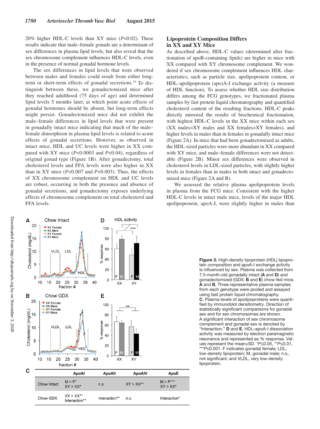20% higher HDL-C levels than XY mice (*P*<0.02). These results indicate that male–female gonads are a determinant of sex differences in plasma lipid levels, but also reveal that the sex chromosome complement influences HDL-C levels, even in the presence of normal gonadal hormone levels.

The sex differences in lipid levels that were observed between males and females could result from either longterm or short-term effects of gonadal secretions.19 To distinguish between these, we gonadectomized mice after they reached adulthood (75 days of age) and determined lipid levels 5 months later, at which point acute effects of gonadal hormones should be absent, but long-term effects might persist. Gonadectomized mice did not exhibit the male–female differences in lipid levels that were present in gonadally intact mice indicating that much of the male– female dimorphism in plasma lipid levels is related to acute effects of gonadal secretions. However, as observed in intact mice, HDL and UC levels were higher in XX compared with XY mice (*P*<0.0003 and *P*<0.04), regardless of original gonad type (Figure 1B). After gonadectomy, total cholesterol levels and FFA levels were also higher in XX than in XY mice (*P*<0.007 and *P*<0.003). Thus, the effects of XX chromosome complement on HDL and UC levels are robust, occurring in both the presence and absence of gonadal secretions, and gonadectomy exposes underlying effects of chromosome complement on total cholesterol and FFA levels.

# **Lipoprotein Composition Differs in XX and XY Mice**

As described above, HDL-C values (determined after fractionation of apoB-containing lipids) are higher in mice with XX compared with XY chromosome complement. We wondered if sex chromosome complement influences HDL characteristics, such as particle size, apolipoprotein content, or HDL–apolipoprotein (apo)A-I exchange activity (a measure of HDL function). To assess whether HDL size distribution differs among the FCG genotypes, we fractionated plasma samples by fast protein liquid chromatography and quantified cholesterol content of the resulting fractions. HDL-C peaks directly mirrored the results of biochemical fractionation, with highest HDL-C levels in the XX mice within each sex (XX males>XY males and XX females>XY females), and higher levels in males than in females in gonadally intact mice (Figure 2A). In mice that had been gonadectomized as adults, the HDL-sized particles were more abundant in XX compared with XY mice, and male–female differences were not detectable (Figure 2B). Minor sex differences were observed in cholesterol levels in LDL-sized particles, with slightly higher levels in females than in males in both intact and gonadectomized mice (Figure 2A and B).

We assessed the relative plasma apolipoprotein levels in plasma from the FCG mice. Consistent with the higher HDL-C levels in intact male mice, levels of the major HDL apolipoprotein, apoA-I, were slightly higher in males than



**Figure 2.** High-density lipoprotein (HDL) lipoprotein composition and apoA-I exchange activity is influenced by sex. Plasma was collected from 7.5-month-old gonadally intact (**A** and **D**) and gonadectomized (GDX; **B** and **E**) chow-fed mice. **A** and **B**, Three representative plasma samples from each genotype were pooled and assayed using fast protein liquid chromatography. **C**, Plasma levels of apolipoproteins were quantified by immunoblot densitometry. Direction of statistically significant comparisons for gonadal sex and for sex chromosomes are shown. A significant interaction of sex chromosome complement and gonadal sex is denoted by "Interaction." **D** and **E**, HDL–apoA-I dissociation activity was measured by electron paramagnetic resonance and represented as % response. Values represent the mean±SD. \**P*≤0.05, \*\**P*≤0.01, \*\*\**P*≤0.001. F indicates gonadal female; LDL, low-density lipoprotein; M, gonadal male; n.s., not significant; and VLDL, very low-density lipoprotein.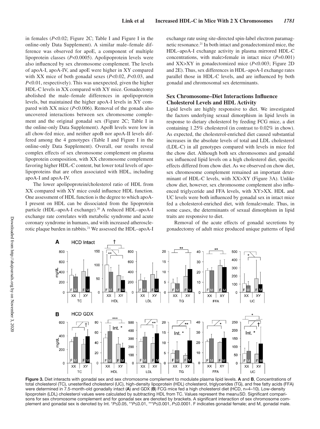in females (*P*<0.02; Figure 2C; Table I and Figure I in the online-only Data Supplement). A similar male–female difference was observed for apoE, a component of multiple lipoprotein classes (*P*<0.0005). Apolipoprotein levels were also influenced by sex chromosome complement. The levels of apoA-I, apoA-IV, and apoE were higher in XY compared with XX mice of both gonadal sexes (*P*<0.02, *P*<0.03, and *P*<0.01, respectively). This was unexpected, given the higher HDL-C levels in XX compared with XY mice. Gonadectomy abolished the male–female differences in apolipoprotein levels, but maintained the higher apoA-I levels in XY compared with XX mice (*P*<0.006). Removal of the gonads also uncovered interactions between sex chromosome complement and the original gonadal sex (Figure 2C; Table I in the online-only Data Supplement). ApoB levels were low in all chow-fed mice, and neither apoB nor apoA-II levels differed among the 4 genotypes (Table I and Figure I in the online-only Data Supplement). Overall, our results reveal complex effects of sex chromosome complement on plasma lipoprotein composition, with XX chromosome complement favoring higher HDL-C content, but lower total levels of apolipoproteins that are often associated with HDL, including apoA-I and apoA-IV.

The lower apolipoprotein/cholesterol ratio of HDL from XX compared with XY mice could influence HDL function. One assessment of HDL function is the degree to which apoA-I present on HDL can be dissociated from the lipoprotein particle (HDL–apoA-I exchange).<sup>20</sup> A reduced HDL–apoA-I exchange rate correlates with metabolic syndrome and acute coronary syndrome in humans, and with increased atherosclerotic plaque burden in rabbits.<sup>21</sup> We assessed the HDL–apoA-I exchange rate using site-directed spin-label electron paramagnetic resonance.21 In both intact and gonadectomized mice, the HDL–apoA-I exchange activity in plasma mirrored HDL-C concentrations, with male>female in intact mice (*P*=0.001) and XX>XY in gonadectomized mice (*P*<0.003; Figure 2D and 2E). Thus, sex differences in HDL–apoA-I exchange rates parallel those in HDL-C levels, and are influenced by both gonadal and chromosomal sex determinants.

# **Sex Chromosome–Diet Interactions Influence Cholesterol Levels and HDL Activity**

Lipid levels are highly responsive to diet. We investigated the factors underlying sexual dimorphism in lipid levels in response to dietary cholesterol by feeding FCG mice, a diet containing 1.25% cholesterol (in contrast to 0.02% in chow). As expected, the cholesterol-enriched diet caused substantial increases in the absolute levels of total and LDL cholesterol (LDL-C) in all genotypes compared with levels in mice fed the chow diet. Although both sex chromosomes and gonadal sex influenced lipid levels on a high cholesterol diet, specific effects differed from chow diet. As we observed on chow diet, sex chromosome complement remained an important determinant of HDL-C levels, with XX>XY (Figure 3A). Unlike chow diet, however, sex chromosome complement also influenced triglyceride and FFA levels, with XY>XX. HDL and UC levels were both influenced by gonadal sex in intact mice fed a cholesterol-enriched diet, with female>male. Thus, in some cases, the determinants of sexual dimorphism in lipid traits are responsive to diet.

Removal of the acute effects of gonadal secretions by gonadectomy of adult mice produced unique patterns of lipid



**Figure 3.** Diet interacts with gonadal sex and sex chromosome complement to modulate plasma lipid levels. **A** and **B**, Concentrations of total cholesterol (TC), unesterified cholesterol (UC), high-density lipoprotein (HDL) cholesterol, triglycerides (TG), and free fatty acids (FFA) were determined in 7.5-month-old gonadally intact (**A**) and GDX (**B**) FCG mice fed a high cholesterol diet (HCD, n=4–10). Low-density lipoprotein (LDL) cholesterol values were calculated by subtracting HDL from TC. Values represent the mean±SD. Significant comparisons for sex chromosome complement and for gonadal sex are denoted by brackets. A significant interaction of sex chromosome complement and gonadal sex is denoted by Int. \**P*≤0.05, \*\**P*≤0.01, \*\*\**P*≤0.001, *P*≤0.0001. F indicates gonadal female; and M, gonadal male.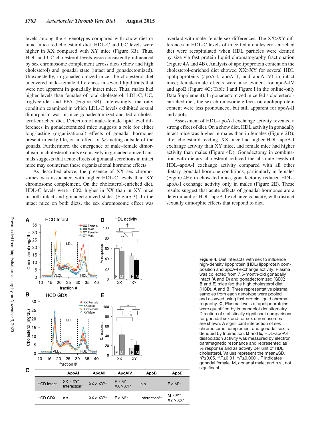levels among the 4 genotypes compared with chow diet or intact mice fed cholesterol diet. HDL-C and UC levels were higher in XX compared with XY mice (Figure 3B). Thus, HDL and UC cholesterol levels were consistently influenced by sex chromosome complement across diets (chow and high cholesterol) and gonadal state (intact and gonadectomized). Unexpectedly, in gonadectomized mice, the cholesterol diet uncovered male–female differences in several lipid traits that were not apparent in gonadally intact mice. Thus, males had higher levels than females of total cholesterol, LDL-C, UC, triglyceride, and FFA (Figure 3B). Interestingly, the only condition examined in which LDL-C levels exhibited sexual dimorphism was in mice gonadectomized and fed a cholesterol-enriched diet. Detection of male–female lipid level differences in gonadectomized mice suggests a role for either long-lasting (organizational) effects of gonadal hormones present in early life, or an effect of *Sry* acting outside of the gonads. Furthermore, the emergence of male–female dimorphism in cholesterol traits exclusively in gonadectomized animals suggests that acute effects of gonadal secretions in intact mice may counteract these organizational hormone effects.

As described above, the presence of XX sex chromosomes was associated with higher HDL-C levels than XY chromosome complement. On the cholesterol-enriched diet, HDL-C levels were  $\approx 60\%$  higher in XX than in XY mice in both intact and gonadectomized states (Figure 3). In the intact mice on both diets, the sex chromosome effect was overlaid with male–female sex differences. The XX>XY differences in HDL-C levels of mice fed a cholesterol-enriched diet were recapitulated when HDL particles were defined by size via fast protein liquid chromatography fractionation (Figure 4A and 4B). Analysis of apolipoprotein content on the cholesterol-enriched diet showed XX>XY for several HDL apolipoproteins (apoA-I, apoA-II, and apoA-IV) in intact mice; female>male effects were also evident for apoA-IV and apoE (Figure 4C; Table I and Figure I in the online-only Data Supplement). In gonadectomized mice fed a cholesterolenriched diet, the sex chromosome effects on apolipoprotein content were less pronounced, but still apparent for apoA-II and apoE.

Assessment of HDL–apoA-I exchange activity revealed a strong effect of diet. On a chow diet, HDL activity in gonadally intact mice was higher in males than in females (Figure 2D); after cholesterol feeding, XX mice had higher HDL–apoA-I exchange activity than XY mice, and female mice had higher activity than males (Figure 4D). Gonadectomy in combination with dietary cholesterol reduced the absolute levels of HDL–apoA-I exchange activity compared with all other dietary–gonadal hormone conditions, particularly in females (Figure 4E); in chow-fed mice, gonadectomy reduced HDL– apoA-I exchange activity only in males (Figure 2E). These results suggest that acute effects of gonadal hormones are a determinant of HDL–apoA-I exchange capacity, with distinct sexually dimorphic effects that respond to diet.



**Figure 4.** Diet interacts with sex to influence high-density lipoprotein (HDL) lipoprotein composition and apoA-I exchange activity. Plasma was collected from 7.5-month-old gonadally intact (**A** and **D**) and gonadectomized (GDX; **B** and **E**) mice fed the high cholesterol diet (HCD). **A** and **B**, Three representative plasma samples from each genotype were pooled and assayed using fast protein liquid chromatography. **C**, Plasma levels of apolipoproteins were quantified by immunoblot densitometry. Direction of statistically significant comparisons for gonadal sex and for sex chromosomes are shown. A significant interaction of sex chromosome complement and gonadal sex is denoted by Interaction. **D** and **E**, HDL–apoA-I dissociation activity was measured by electron paramagnetic resonance and represented as % response and as activity per unit of HDL cholesterol. Values represent the mean±SD. \**P*≤0.05, \*\**P*≤0.01, †*P*≤0.0001. F indicates gonadal female; M, gonadal male; and n.s., not significant.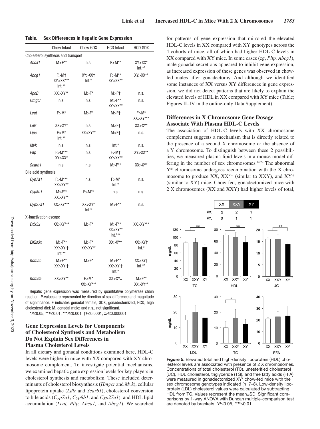| Table. | Sex Differences in Hepatic Gene Expression |  |
|--------|--------------------------------------------|--|
|        |                                            |  |

|                       | Chow Intact                             | Chow GDX                  | <b>HCD Intact</b>                      | <b>HCD GDX</b>            |
|-----------------------|-----------------------------------------|---------------------------|----------------------------------------|---------------------------|
|                       | Cholesterol synthesis and transport     |                           |                                        |                           |
| Abca1                 | $M>F^{**}$                              | n.s.                      | $F>M**$                                | $XY > XX^*$<br>$Int.**$   |
| Abcq1                 | F>M†<br>$XY > XY***$<br>$Int.**$        | $XY > XX +$<br>$Int.*$    | $F>M^{**}$<br>$XY > XX**$              | $XY > XY**$               |
| ApoB                  | $XX > XY**$                             | $M>F^*$                   | M>F†                                   | n.s.                      |
| <b>Hmgcr</b>          | n.s.                                    | n.s.                      | $M>F^{**}$<br>$XY > XX**$              | n.s.                      |
| Lcat                  | $F > M^*$                               | $M > F^*$                 | $M>F+$                                 | $F>M^*$<br>$XX > XY***$   |
| LdIr                  | $XX > XY^*$                             | n.s.                      | M>F†                                   | $XX > XY^*$               |
| Lipc                  | $F > M^*$<br>$Int.**$                   | $XX > XY**$               | $M>F+$                                 | n.s.                      |
| Mvk                   | n.s.                                    | n.s.                      | $Int.*$                                | n.s.                      |
| Pltp                  | $F > M***$<br>$XY > XX^*$               | n.s.                      | F>Mt<br>$XY > XX**$                    | $XY > XX**$               |
| Scarb1                | n.s.                                    | n.s.                      | $M>F^{**}$                             | $XX > XY^*$               |
| Bile acid synthesis   |                                         |                           |                                        |                           |
| Cyp7a1                | $F > M***$<br>$XX > XY**$               | n.s.                      | $F > M^*$<br>$Int.*$                   | n.s.                      |
| Cyp8b1                | $M>F^{**}$<br>$XX > XY**$               | $F > M^{\star\star}$      | n.s.                                   | n.s.                      |
| Cyp27a1               | $XX > XY***$                            | $XX > XY^*$<br>$Int.*$    | $M>F^{**}$                             | n.s.                      |
| X-inactivation escape |                                         |                           |                                        |                           |
| Ddx3x                 | $XX > XY***$                            | $M > F^*$                 | $M>F^{**}$<br>$XX > XY**$<br>$Int.***$ | $XX > XY***$              |
| Eif2s3x               | $M>F^{**}$<br>$XX > XY \pm$<br>$Int.**$ | $M > F^*$<br>$XX > XY**$  | XX > XY                                | XX > XY<br>$Int.*$        |
| Kdm5c                 | $M>F^{**}$<br>$XX > XY +$               | $M > F^*$                 | $M>F^{**}$<br>$XX > XY \pm$<br>$Int.*$ | XX > XY<br>$Int.**$       |
| Kdm6a                 | $XX > XY**$                             | $F > M^*$<br>$XX > XY***$ | XX > XY                                | $M>F^{**}$<br>$XX > XY**$ |

Hepatic gene expression was measured by quantitative polymerase chain reaction. P-values are represented by direction of sex difference and magnitude of significance. F indicates gonadal female; GDX, gonadectomized; HCD, high cholesterol diet; M, gonadal male; and n.s., not significant.

\*P≤0.05, \*\*P≤0.01, \*\*\*P≤0.001, †P≤0.0001, ‡P≤0.000001.

# **Gene Expression Levels for Components of Cholesterol Synthesis and Metabolism Do Not Explain Sex Differences in Plasma Cholesterol Levels**

In all dietary and gonadal conditions examined here, HDL-C levels were higher in mice with XX compared with XY chromosome complement. To investigate potential mechanisms, we examined hepatic gene expression levels for key players in cholesterol synthesis and metabolism. These included determinants of cholesterol biosynthesis (*Hmgcr* and *Mvk*), cellular lipoprotein uptake (*Ldlr* and *Scarb1*), cholesterol conversion to bile acids (*Cyp7a1*, *Cyp8b1*, and *Cyp27a1*), and HDL lipid accumulation (*Lcat, Pltp, Abca1,* and *Abcg1*). We searched

for patterns of gene expression that mirrored the elevated HDL-C levels in XX compared with XY genotypes across the 4 cohorts of mice, all of which had higher HDL-C levels in XX compared with XY mice. In some cases (eg, *Pltp, Abcg1*), male gonadal secretions appeared to inhibit gene expression, as increased expression of these genes was observed in chowfed males after gonadectomy. And although we identified some instances of XX versus XY differences in gene expression, we did not detect patterns that are likely to explain the elevated levels of HDL in XX compared with XY mice (Table; Figures II–IV in the online-only Data Supplement).

### **Differences in X Chromosome Gene Dosage Associate With Plasma HDL-C Levels**

The association of HDL-C levels with XX chromosome complement suggests a mechanism that is directly related to the presence of a second X chromosome or the absence of a Y chromosome. To distinguish between these 2 possibilities, we measured plasma lipid levels in a mouse model differing in the number of sex chromosomes.14,22 The abnormal Y\* chromosome undergoes recombination with the X chromosome to produce  $XX$ ,  $XX^{\gamma*}$  (similar to XXY), and  $XY^*$ (similar to XY) mice. Chow-fed, gonadectomized mice with 2 X chromosomes (XX and XXY) had higher levels of total,



**Figure 5.** Elevated total and high-density lipoprotein (HDL) cholesterol levels are associated with presence of 2 X chromosomes. Concentrations of total cholesterol (TC), unesterified cholesterol (UC), HDL cholesterol, triglyceride (TG), and free fatty acids (FFA) were measured in gonadectomized XY\* chow-fed mice with the sex chromosome genotypes indicated (n=7–8). Low-density lipoprotein (LDL) cholesterol values were calculated by subtracting HDL from TC. Values represent the mean±SD. Significant comparisons by 1-way ANOVA with Duncan multiple-comparison test are denoted by brackets. \**P*≤0.05, \*\**P*≤0.01.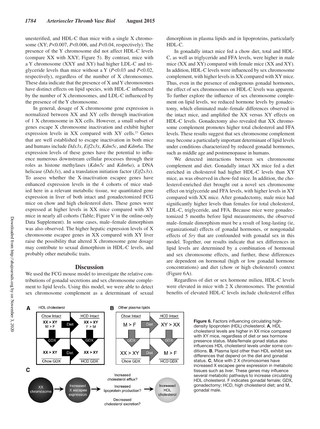unesterified, and HDL-C than mice with a single X chromosome (XY; *P*<0.007, *P*<0.006, and *P*<0.04, respectively). The presence of the Y chromosome did not affect HDL-C levels (compare XX with XXY; Figure 5). By contrast, mice with a Y chromosome (XXY and XY) had higher LDL-C and triglyceride levels than mice without a Y (*P*<0.03 and *P*<0.02, respectively), regardless of the number of X chromosomes. These data indicate that the presence of X and Y chromosomes have distinct effects on lipid species, with HDL-C influenced by the number of X chromosomes, and LDL-C influenced by the presence of the Y chromosome.

In general, dosage of X chromosome gene expression is normalized between XX and XY cells through inactivation of 1 X chromosome in XX cells. However, a small subset of genes escape X chromosome inactivation and exhibit higher expression levels in XX compared with XY cells.<sup>23</sup> Genes that are well established to escape inactivation in both mice and humans include *Ddx3x*, *Eif2s3x*, *Kdm5c*, and *Kdm6a*. The expression levels of these genes have the potential to influence numerous downstream cellular processes through their roles as histone methylases (*Kdm5c* and *Kdm6a*), a DNA helicase (*Ddx3x*), and a translation initiation factor (*Eif2s3x*). To assess whether the X-inactivation escapee genes have enhanced expression levels in the 4 cohorts of mice studied here in a relevant metabolic tissue, we quantitated gene expression in liver of both intact and gonadectomized FCG mice on chow and high cholesterol diets. These genes were expressed at higher levels in XX mice compared with XY mice in nearly all cohorts (Table; Figure V in the online-only Data Supplement). In some cases, male–female dimorphism was also observed. The higher hepatic expression levels of X chromosome escapee genes in XX compared with XY liver raise the possibility that altered X chromosome gene dosage may contribute to sexual dimorphism in HDL-C levels, and probably other metabolic traits.

### **Discussion**

We used the FCG mouse model to investigate the relative contributions of gonadal secretions and sex chromosome complement to lipid levels. Using this model, we were able to detect sex chromosome complement as a determinant of sexual dimorphism in plasma lipids and in lipoproteins, particularly HDL-C.

In gonadally intact mice fed a chow diet, total and HDL-C, as well as triglyceride and FFA levels, were higher in male mice (XX and XY) compared with female mice (XX and XY). In addition, HDL-C levels were influenced by sex chromosome complement, with higher levels in XX compared with XY mice. Thus, even in the presence of endogenous gonadal hormones, the effect of sex chromosomes on HDL-C levels was apparent. To further explore the influence of sex chromosome complement on lipid levels, we reduced hormone levels by gonadectomy, which eliminated male–female differences observed in the intact mice, and amplified the XX versus XY effects on HDL-C levels. Gonadectomy also revealed that XX chromosome complement promotes higher total cholesterol and FFA levels. These results suggest that sex chromosome complement may become a particularly important determinant of lipid levels under conditions characterized by reduced gonadal hormones, such as middle age and postmenopause in humans.

We detected interactions between sex chromosome complement and diet. Gonadally intact XX mice fed a diet enriched in cholesterol had higher HDL-C levels than XY mice, as was observed in chow-fed mice. In addition, the cholesterol-enriched diet brought out a novel sex chromosome effect on triglyceride and FFA levels, with higher levels in XY compared with XX mice. After gonadectomy, male mice had significantly higher levels than females for total cholesterol, LDL-C, triglyceride, and FFA. Because mice were gonadectomized 5 months before lipid measurements, the observed male–female dimorphism must be a result of long-lasting (ie, organizational) effects of gonadal hormones, or nongonadal effects of *Sry* that are confounded with gonadal sex in this model. Together, our results indicate that sex differences in lipid levels are determined by a combination of hormonal and sex chromosome effects, and further, these differences are dependent on hormonal (high or low gonadal hormone concentrations) and diet (chow or high cholesterol) context (Figure 6A).

were elevated in mice with 2 X chromosomes. The potential benefits of elevated HDL-C levels include cholesterol efflux

**HDL** cholesterol Other plasma lipids в Chow Intact **HCD** Intact **HCD Intact** Chow Intact  $XX > XY$  $XX > XY$  $XY > XX$ Diet  $M > F$  $Die$  $M > F$  $F > M$ -<br>GDX GDX  $XX > XY$  $XX > XY$ Diet  $XX > XY$ Diet  $M > F$ Chow GDX **HCD GDX** Chow GDX **HCD GDX** Increased cholesterol efflux? Increased Increased Increased **XX** X escapee lipoprotein production? HDL chromosome cholesterol expression Decreased cholesterol excretion?

Regardless of diet or sex hormone milieu, HDL-C levels

**Figure 6.** Factors influencing circulating highdensity lipoprotein (HDL) cholesterol. **A**, HDL cholesterol levels are higher in XX mice compared with XY mice, regardless of diet or sex hormone presence status. Male/female gonad status also influences HDL cholesterol levels under some conditions. **B**, Plasma lipid other than HDL exhibit sex differences that depend on the diet and gonadal status. **C**, Mice with 2 X chromosomes have increased X escapee gene expression in metabolic tissues such as liver. These genes may influence several metabolic pathways to increase circulating HDL cholesterol. F indicates gonadal female; GDX, gonadectomy; HCD, high cholesterol diet; and M, gonadal male.

A

C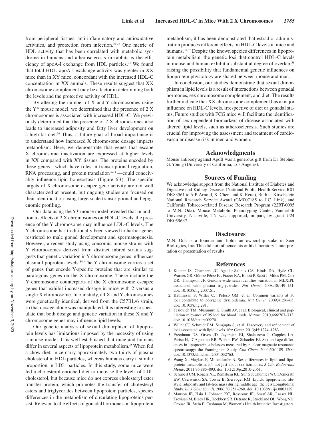from peripheral tissues, anti-inflammatory and antioxidative activities, and protection from infection.24,25 One metric of HDL activity that has been correlated with metabolic syndrome in humans and atherosclerosis in rabbits is the efficiency of apoA-I exchange from HDL particles.<sup>21</sup> We found that total HDL–apoA-I exchange activity was greater in XX mice than in XY mice, concordant with the increased HDL-C concentration in XX animals. These results suggest that XX chromosome complement may be a factor in determining both the levels and the protective activity of HDL.

By altering the number of X and Y chromosomes using the  $Y^*$  mouse model, we determined that the presence of 2 X chromosomes is associated with increased HDL-C. We previously determined that the presence of 2 X chromosomes also leads to increased adiposity and fatty liver development on a high-fat diet.<sup>16</sup> Thus, a future goal of broad importance is to understand how increased X chromosome dosage impacts metabolism. Here, we demonstrate that genes that escape X chromosome inactivation are expressed at higher levels in XX compared with XY tissues. The proteins encoded by these genes—which have roles in transcriptional regulation, RNA processing, and protein translation $26-33$ —could conceivably influence lipid homeostasis (Figure 6B). The specific targets of X chromosome escapee gene activity are not well characterized at present, but ongoing studies are focused on their identification using large-scale transcriptional and epigenomic profiling.

Our data using the Y\* mouse model revealed that in addition to effects of 2 X chromosomes on HDL-C levels, the presence of the Y chromosome may influence LDL-C levels. The Y chromosome has traditionally been viewed to harbor genes restricted to male gonad development and spermatogenesis. However, a recent study using consomic mouse strains with Y chromosomes derived from distinct inbred strains suggests that genetic variation in Y chromosome genes influences plasma lipoprotein levels.34 The Y chromosome carries a set of genes that encode Y-specific proteins that are similar to paralogous genes on the X chromosome. These include the Y chromosome counterparts of the X chromosome escapee genes that exhibit increased dosage in mice with 2 versus a single X chromosome. In our study, all X and Y chromosomes were genetically identical, derived from the C57BL/6 strain, so that dosage alone was manipulated. It is interesting to speculate that both dosage and genetic variation in these X and Y chromosome genes may influence lipid levels.

Our genetic analysis of sexual dimorphism of lipoprotein levels has limitations imposed by the necessity of using a mouse model. It is well established that mice and humans differ in several aspects of lipoprotein metabolism.<sup>35</sup> When fed a chow diet, mice carry approximately two thirds of plasma cholesterol in HDL particles, whereas humans carry a similar proportion in LDL particles. In this study, some mice were fed a cholesterol-enriched diet to increase the levels of LDL cholesterol, but because mice do not express cholesteryl ester transfer protein, which promotes the transfer of cholesteryl esters and triglycerides between lipoprotein particles, species differences in the metabolism of circulating lipoproteins persist. Relevant to the effects of gonadal hormones on lipoprotein

metabolism, it has been demonstrated that estradiol administration produces different effects on HDL-C levels in mice and humans.<sup>36,37</sup> Despite the known species differences in lipoprotein metabolism, the genetic loci that control HDL-C levels in mouse and human exhibit a substantial degree of overlap.<sup>38</sup> raising the possibility that fundamental genetic influences on lipoprotein physiology are shared between mouse and man.

In conclusion, our studies demonstrate that sexual dimorphism in lipid levels is a result of interactions between gonadal hormones, sex chromosome complement, and diet. The results further indicate that XX chromosome complement has a major influence on HDL-C levels, irrespective of diet or gonadal status. Future studies with FCG mice will facilitate the identification of sex-dependent biomarkers of disease associated with altered lipid levels, such as atherosclerosis. Such studies are crucial for improving the assessment and treatment of cardiovascular disease risk in men and women.

#### **Acknowledgments**

Mouse antibody against ApoB was a generous gift from Dr Stephen G. Young (University of California, Los Angeles).

#### **Sources of Funding**

We acknowledge support from the National Institute of Diabetes and Digestive and Kidney Diseases (National Public Health Service R01 DK83561 to A.P. Arnold, X. Chen, and K. Reue), Ruth L. Kirschstein National Research Service Award (GM007185 to J.C. Link), and California Tobacco-related Disease Research Program (22RT-0095 to M.N. Oda). Mouse Metabolic Phenotyping Center, Vanderbilt University, Nashville, TN was supported, in part, by grant U24 DK059637.

#### **Disclosures**

M.N. Oda is a founder and holds an ownership stake in Seer BioLogics, Inc. This did not influence his or his laboratory's interpretation or presentation of results.

#### **References**

- 1. Kooner JS, Chambers JC, Aguilar-Salinas CA, Hinds DA, Hyde CL, Warnes GR, Gómez Pérez FJ, Frazer KA, Elliott P, Scott J, Milos PM, Cox DR, Thompson JF. Genome-wide scan identifies variation in MLXIPL associated with plasma triglycerides. *Nat Genet*. 2008;40:149–151. doi: 10.1038/ng.2007.61.
- 2. Kathiresan S, Willer CJ, Peloso GM, et al. Common variants at 30 loci contribute to polygenic dyslipidemia. *Nat Genet*. 2009;41:56–65. doi: 10.1038/ng.291.
- 3. Teslovich TM, Musunuru K, Smith AV, et al. Biological, clinical and population relevance of 95 loci for blood lipids. *Nature*. 2010;466:707–713. doi: 10.1038/nature09270.
- 4. Willer CJ, Schmidt EM, Sengupta S, et al. Discovery and refinement of loci associated with lipid levels. *Nat Genet*. 2013;45:1274–1283.
- 5. Freedman DS, Otvos JD, Jeyarajah EJ, Shalaurova I, Cupples LA, Parise H, D'Agostino RB, Wilson PW, Schaefer EJ. Sex and age differences in lipoprotein subclasses measured by nuclear magnetic resonance spectroscopy: the Framingham Study. *Clin Chem*. 2004;50:1189–1200. doi: 10.1373/clinchem.2004.032763.
- 6. Wang X, Magkos F, Mittendorfer B. Sex differences in lipid and lipoprotein metabolism: it's not just about sex hormones. *J Clin Endocrinol Metab*. 2011;96:885–893. doi: 10.1210/jc.2010-2061.
- 7. Schubert CM, Rogers NL, Remsberg KE, Sun SS, Chumlea WC, Demerath EW, Czerwinski SA, Towne B, Siervogel RM. Lipids, lipoproteins, lifestyle, adiposity and fat-free mass during middle age: the Fels Longitudinal Study. *Int J Obes (Lond)*. 2006;30:251–260. doi: 10.1038/sj.ijo.0803129.
- 8. Manson JE, Hsia J, Johnson KC, Rossouw JE, Assaf AR, Lasser NL, Trevisan M, Black HR, Heckbert SR, Detrano R, Strickland OL, Wong ND, Crouse JR, Stein E, Cushman M; Women's Health Initiative Investigators.